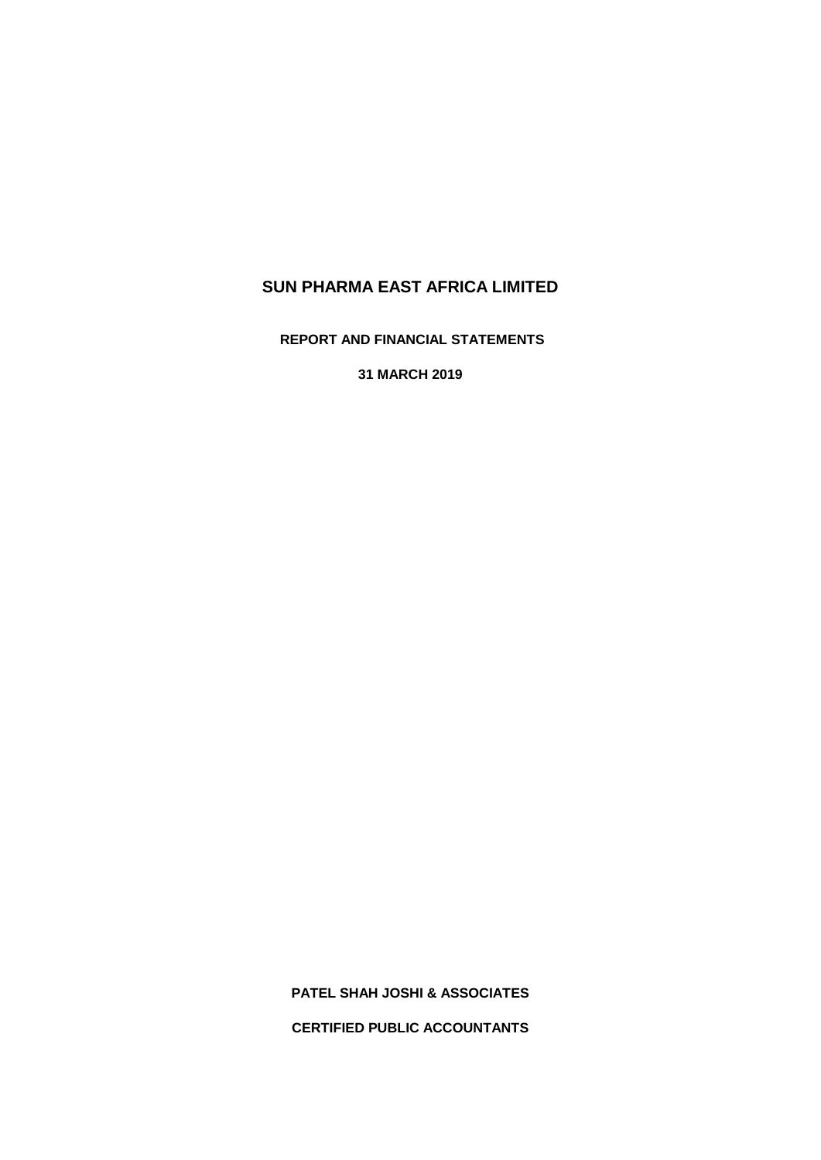**REPORT AND FINANCIAL STATEMENTS**

**31 MARCH 2019**

**PATEL SHAH JOSHI & ASSOCIATES**

**CERTIFIED PUBLIC ACCOUNTANTS**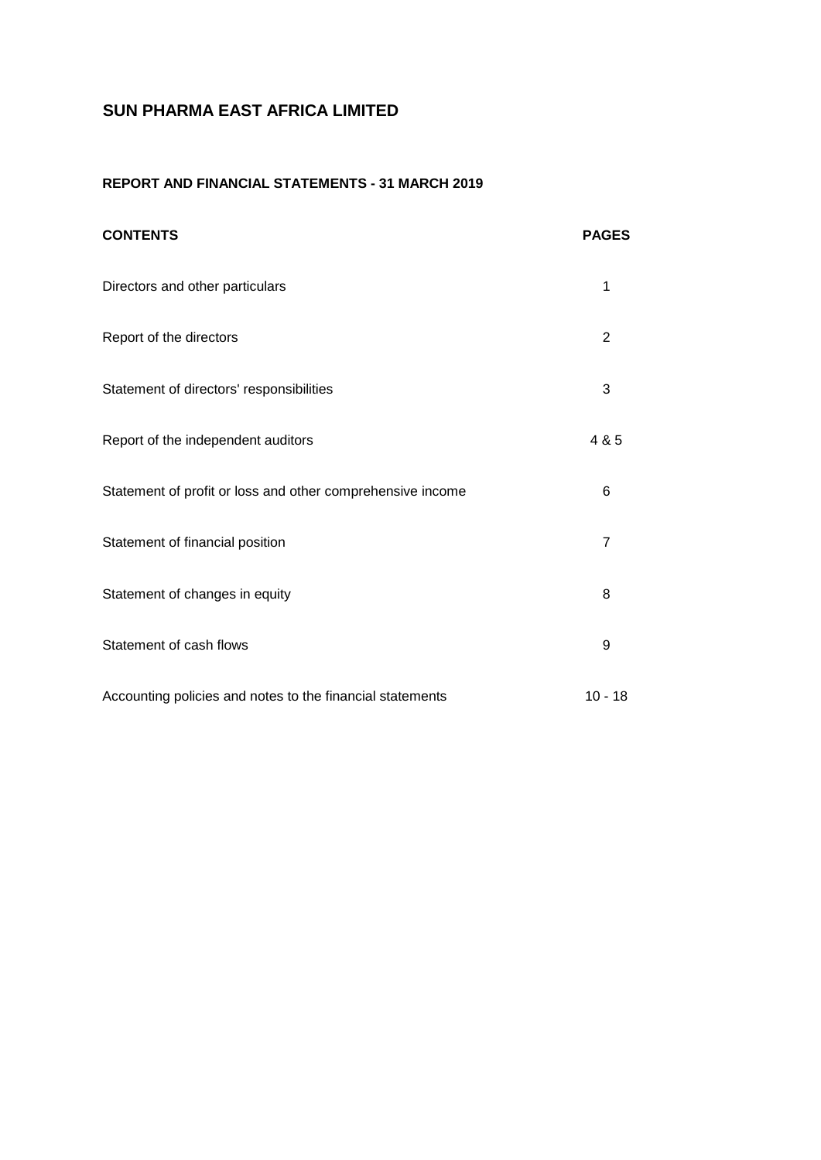### **REPORT AND FINANCIAL STATEMENTS - 31 MARCH 2019**

| <b>CONTENTS</b>                                            | <b>PAGES</b> |
|------------------------------------------------------------|--------------|
| Directors and other particulars                            | 1            |
| Report of the directors                                    | 2            |
| Statement of directors' responsibilities                   | 3            |
| Report of the independent auditors                         | 4 & 5        |
| Statement of profit or loss and other comprehensive income | 6            |
| Statement of financial position                            | 7            |
| Statement of changes in equity                             | 8            |
| Statement of cash flows                                    | 9            |
| Accounting policies and notes to the financial statements  | $10 - 18$    |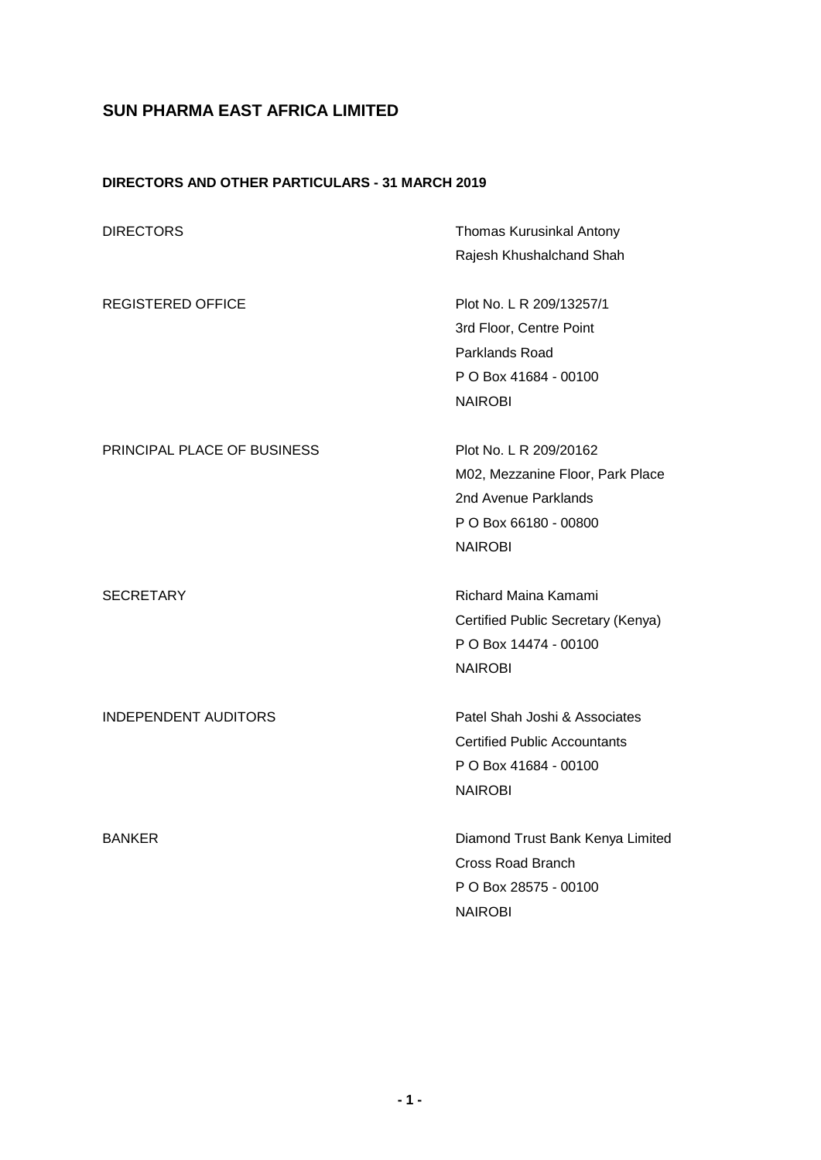## **DIRECTORS AND OTHER PARTICULARS - 31 MARCH 2019**

| <b>DIRECTORS</b>            | Thomas Kurusinkal Antony<br>Rajesh Khushalchand Shah                                                                          |
|-----------------------------|-------------------------------------------------------------------------------------------------------------------------------|
| <b>REGISTERED OFFICE</b>    | Plot No. L R 209/13257/1<br>3rd Floor, Centre Point<br>Parklands Road<br>P O Box 41684 - 00100<br><b>NAIROBI</b>              |
| PRINCIPAL PLACE OF BUSINESS | Plot No. L R 209/20162<br>M02, Mezzanine Floor, Park Place<br>2nd Avenue Parklands<br>P O Box 66180 - 00800<br><b>NAIROBI</b> |
| <b>SECRETARY</b>            | Richard Maina Kamami<br>Certified Public Secretary (Kenya)<br>P O Box 14474 - 00100<br><b>NAIROBI</b>                         |
| <b>INDEPENDENT AUDITORS</b> | Patel Shah Joshi & Associates<br><b>Certified Public Accountants</b><br>P O Box 41684 - 00100<br><b>NAIROBI</b>               |
| <b>BANKER</b>               | Diamond Trust Bank Kenya Limited<br><b>Cross Road Branch</b><br>P O Box 28575 - 00100<br><b>NAIROBI</b>                       |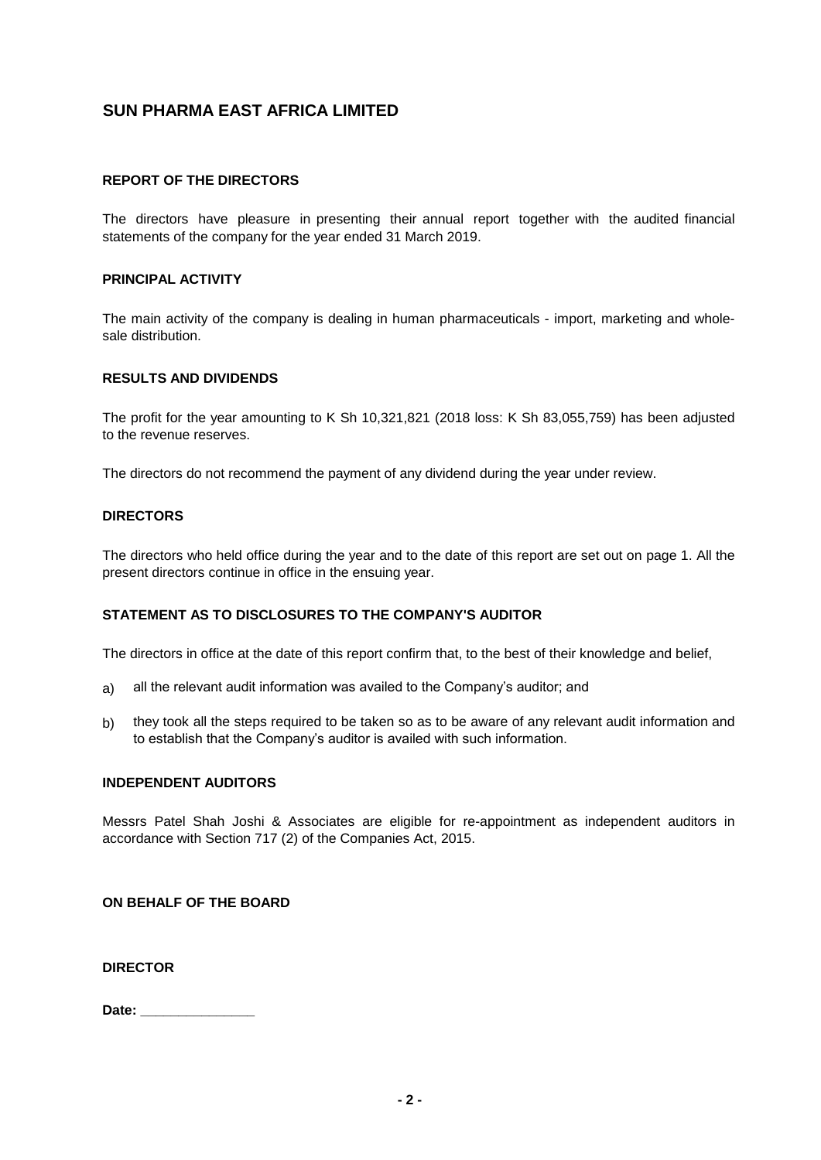### **REPORT OF THE DIRECTORS**

The directors have pleasure in presenting their annual report together with the audited financial statements of the company for the year ended 31 March 2019.

#### **PRINCIPAL ACTIVITY**

The main activity of the company is dealing in human pharmaceuticals - import, marketing and wholesale distribution.

### **RESULTS AND DIVIDENDS**

The profit for the year amounting to K Sh 10,321,821 (2018 loss: K Sh 83,055,759) has been adjusted to the revenue reserves.

The directors do not recommend the payment of any dividend during the year under review.

#### **DIRECTORS**

The directors who held office during the year and to the date of this report are set out on page 1. All the present directors continue in office in the ensuing year.

### **STATEMENT AS TO DISCLOSURES TO THE COMPANY'S AUDITOR**

The directors in office at the date of this report confirm that, to the best of their knowledge and belief,

- a) all the relevant audit information was availed to the Company's auditor; and
- b) they took all the steps required to be taken so as to be aware of any relevant audit information and to establish that the Company's auditor is availed with such information.

#### **INDEPENDENT AUDITORS**

Messrs Patel Shah Joshi & Associates are eligible for re-appointment as independent auditors in accordance with Section 717 (2) of the Companies Act, 2015.

**ON BEHALF OF THE BOARD**

**DIRECTOR**

| Date: |  |  |
|-------|--|--|
|-------|--|--|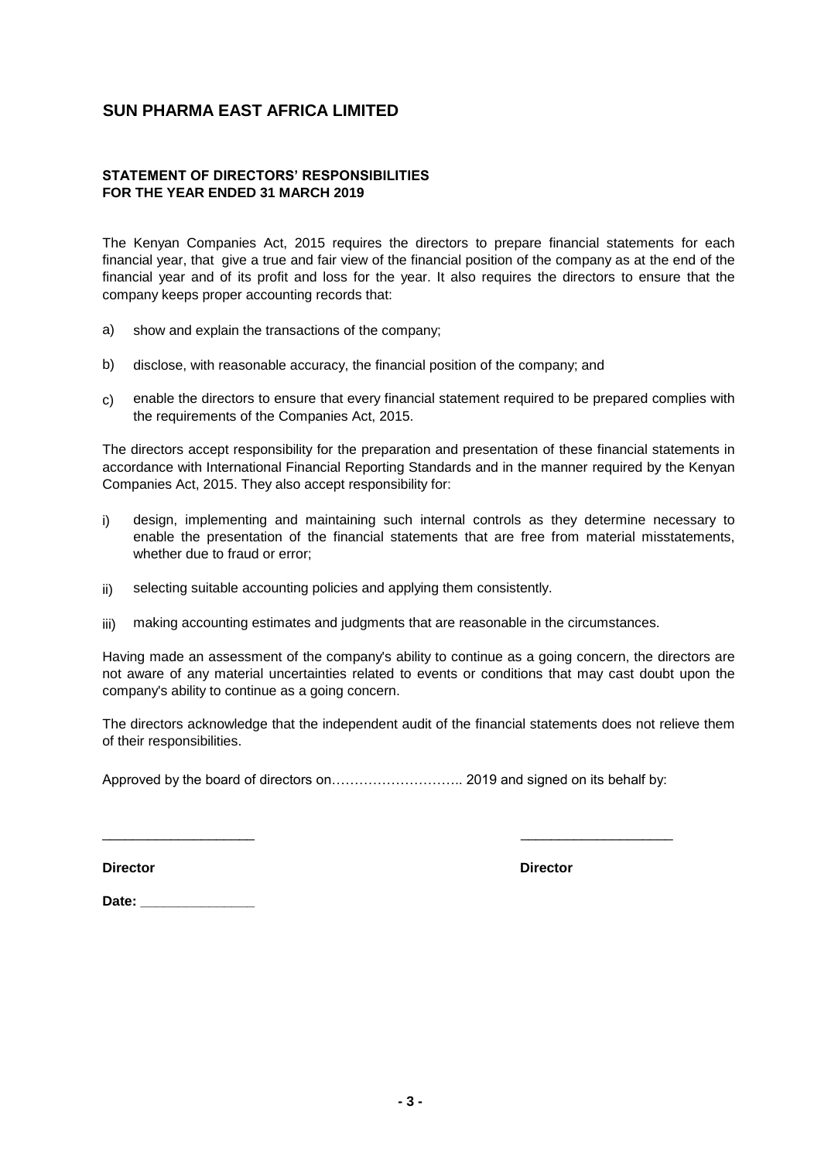### **STATEMENT OF DIRECTORS' RESPONSIBILITIES FOR THE YEAR ENDED 31 MARCH 2019**

The Kenyan Companies Act, 2015 requires the directors to prepare financial statements for each financial year, that give a true and fair view of the financial position of the company as at the end of the financial year and of its profit and loss for the year. It also requires the directors to ensure that the company keeps proper accounting records that:

- a) show and explain the transactions of the company;
- b) disclose, with reasonable accuracy, the financial position of the company; and
- c) enable the directors to ensure that every financial statement required to be prepared complies with the requirements of the Companies Act, 2015.

The directors accept responsibility for the preparation and presentation of these financial statements in accordance with International Financial Reporting Standards and in the manner required by the Kenyan Companies Act, 2015. They also accept responsibility for:

- i) design, implementing and maintaining such internal controls as they determine necessary to enable the presentation of the financial statements that are free from material misstatements, whether due to fraud or error;
- ii) selecting suitable accounting policies and applying them consistently.
- iii) making accounting estimates and judgments that are reasonable in the circumstances.

Having made an assessment of the company's ability to continue as a going concern, the directors are not aware of any material uncertainties related to events or conditions that may cast doubt upon the company's ability to continue as a going concern.

The directors acknowledge that the independent audit of the financial statements does not relieve them of their responsibilities.

Approved by the board of directors on……………………….. 2019 and signed on its behalf by:

 $\frac{1}{2}$  ,  $\frac{1}{2}$  ,  $\frac{1}{2}$  ,  $\frac{1}{2}$  ,  $\frac{1}{2}$  ,  $\frac{1}{2}$  ,  $\frac{1}{2}$  ,  $\frac{1}{2}$  ,  $\frac{1}{2}$  ,  $\frac{1}{2}$  ,  $\frac{1}{2}$  ,  $\frac{1}{2}$  ,  $\frac{1}{2}$  ,  $\frac{1}{2}$  ,  $\frac{1}{2}$  ,  $\frac{1}{2}$  ,  $\frac{1}{2}$  ,  $\frac{1}{2}$  ,  $\frac{1$ 

**Director Director**

**Date: \_\_\_\_\_\_\_\_\_\_\_\_\_\_\_**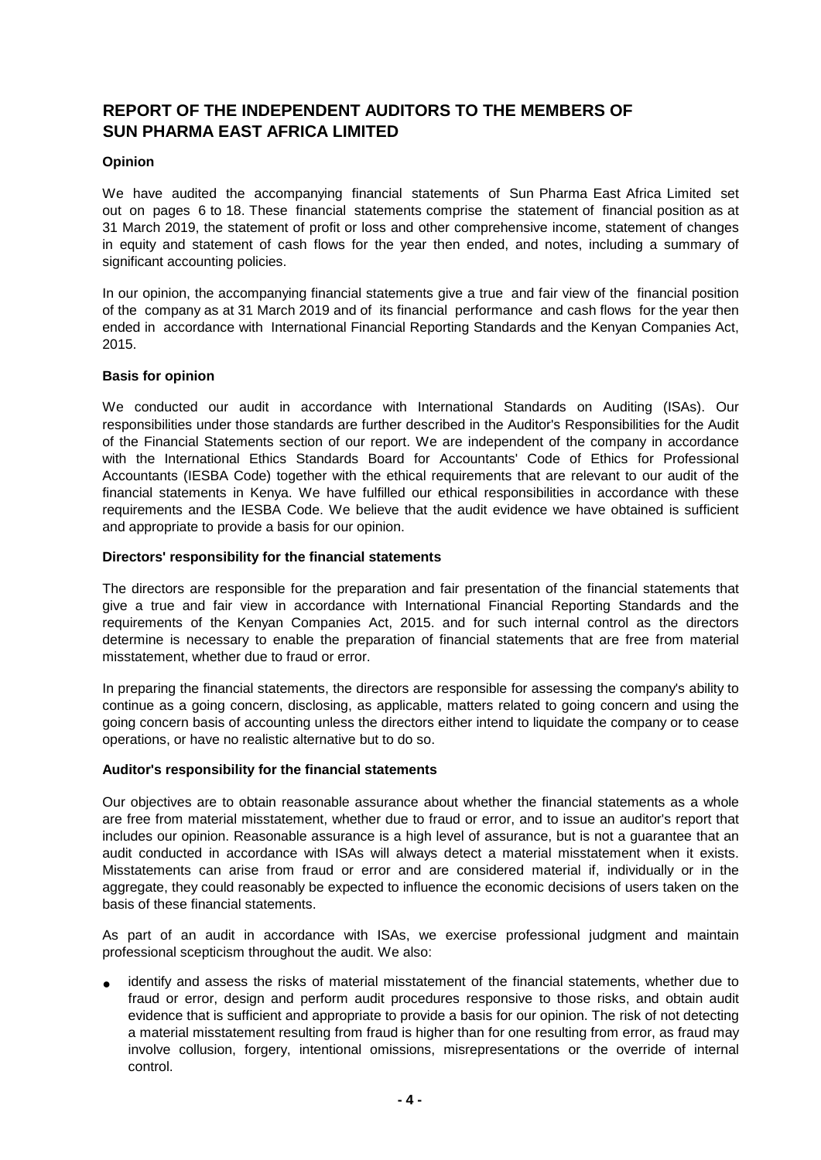## **REPORT OF THE INDEPENDENT AUDITORS TO THE MEMBERS OF SUN PHARMA EAST AFRICA LIMITED**

#### **Opinion**

We have audited the accompanying financial statements of Sun Pharma East Africa Limited set out on pages 6 to 18. These financial statements comprise the statement of financial position as at 31 March 2019, the statement of profit or loss and other comprehensive income, statement of changes in equity and statement of cash flows for the year then ended, and notes, including a summary of significant accounting policies.

In our opinion, the accompanying financial statements give a true and fair view of the financial position of the company as at 31 March 2019 and of its financial performance and cash flows for the year then ended in accordance with International Financial Reporting Standards and the Kenyan Companies Act, 2015.

#### **Basis for opinion**

We conducted our audit in accordance with International Standards on Auditing (ISAs). Our responsibilities under those standards are further described in the Auditor's Responsibilities for the Audit of the Financial Statements section of our report. We are independent of the company in accordance with the International Ethics Standards Board for Accountants' Code of Ethics for Professional Accountants (IESBA Code) together with the ethical requirements that are relevant to our audit of the financial statements in Kenya. We have fulfilled our ethical responsibilities in accordance with these requirements and the IESBA Code. We believe that the audit evidence we have obtained is sufficient and appropriate to provide a basis for our opinion.

#### **Directors' responsibility for the financial statements**

The directors are responsible for the preparation and fair presentation of the financial statements that give a true and fair view in accordance with International Financial Reporting Standards and the requirements of the Kenyan Companies Act, 2015. and for such internal control as the directors determine is necessary to enable the preparation of financial statements that are free from material misstatement, whether due to fraud or error.

In preparing the financial statements, the directors are responsible for assessing the company's ability to continue as a going concern, disclosing, as applicable, matters related to going concern and using the going concern basis of accounting unless the directors either intend to liquidate the company or to cease operations, or have no realistic alternative but to do so.

### **Auditor's responsibility for the financial statements**

Our objectives are to obtain reasonable assurance about whether the financial statements as a whole are free from material misstatement, whether due to fraud or error, and to issue an auditor's report that includes our opinion. Reasonable assurance is a high level of assurance, but is not a guarantee that an audit conducted in accordance with ISAs will always detect a material misstatement when it exists. Misstatements can arise from fraud or error and are considered material if, individually or in the aggregate, they could reasonably be expected to influence the economic decisions of users taken on the basis of these financial statements.

As part of an audit in accordance with ISAs, we exercise professional judgment and maintain professional scepticism throughout the audit. We also:

**●** identify and assess the risks of material misstatement of the financial statements, whether due to fraud or error, design and perform audit procedures responsive to those risks, and obtain audit evidence that is sufficient and appropriate to provide a basis for our opinion. The risk of not detecting a material misstatement resulting from fraud is higher than for one resulting from error, as fraud may involve collusion, forgery, intentional omissions, misrepresentations or the override of internal control.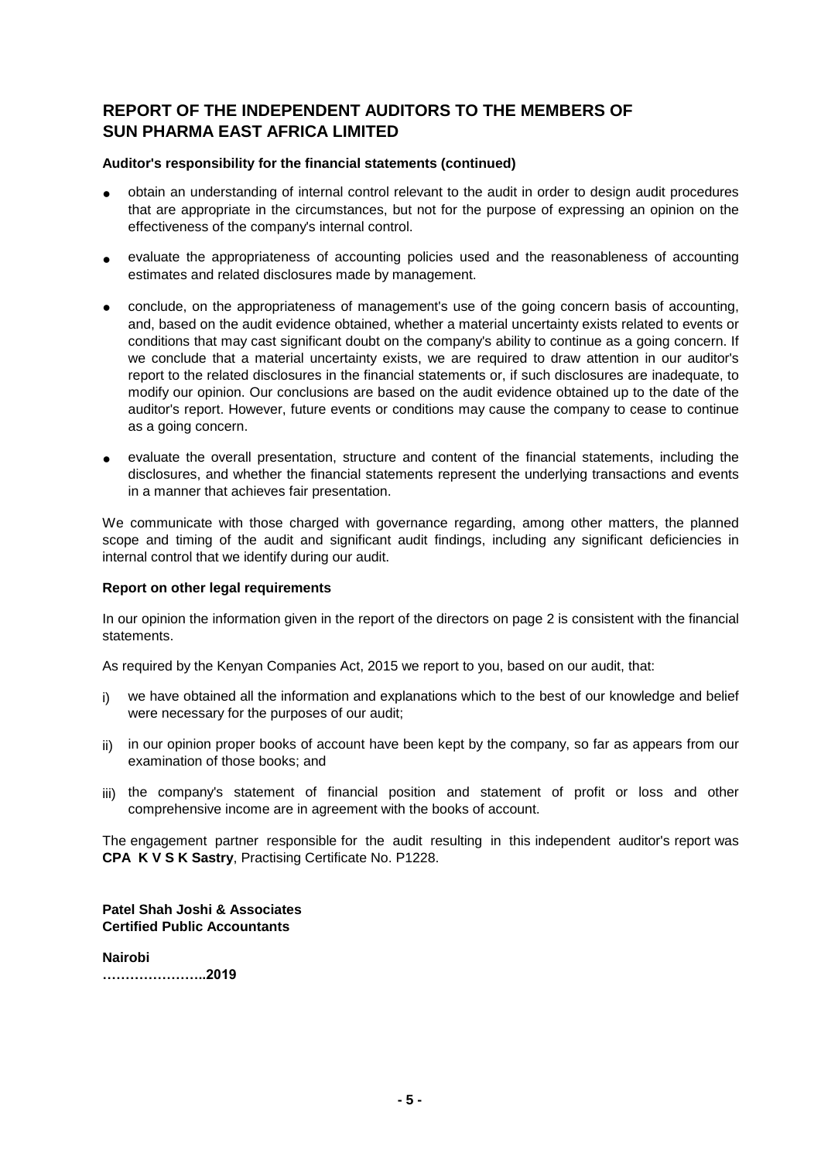## **REPORT OF THE INDEPENDENT AUDITORS TO THE MEMBERS OF SUN PHARMA EAST AFRICA LIMITED**

#### **Auditor's responsibility for the financial statements (continued)**

- **●** obtain an understanding of internal control relevant to the audit in order to design audit procedures that are appropriate in the circumstances, but not for the purpose of expressing an opinion on the effectiveness of the company's internal control.
- **●** evaluate the appropriateness of accounting policies used and the reasonableness of accounting estimates and related disclosures made by management.
- **●** conclude, on the appropriateness of management's use of the going concern basis of accounting, and, based on the audit evidence obtained, whether a material uncertainty exists related to events or conditions that may cast significant doubt on the company's ability to continue as a going concern. If we conclude that a material uncertainty exists, we are required to draw attention in our auditor's report to the related disclosures in the financial statements or, if such disclosures are inadequate, to modify our opinion. Our conclusions are based on the audit evidence obtained up to the date of the auditor's report. However, future events or conditions may cause the company to cease to continue as a going concern.
- **●** evaluate the overall presentation, structure and content of the financial statements, including the disclosures, and whether the financial statements represent the underlying transactions and events in a manner that achieves fair presentation.

We communicate with those charged with governance regarding, among other matters, the planned scope and timing of the audit and significant audit findings, including any significant deficiencies in internal control that we identify during our audit.

#### **Report on other legal requirements**

In our opinion the information given in the report of the directors on page 2 is consistent with the financial statements.

As required by the Kenyan Companies Act, 2015 we report to you, based on our audit, that:

- i) we have obtained all the information and explanations which to the best of our knowledge and belief were necessary for the purposes of our audit;
- ii) in our opinion proper books of account have been kept by the company, so far as appears from our examination of those books; and
- iii) the company's statement of financial position and statement of profit or loss and other comprehensive income are in agreement with the books of account.

The engagement partner responsible for the audit resulting in this independent auditor's report was **CPA K V S K Sastry**, Practising Certificate No. P1228.

**Patel Shah Joshi & Associates Certified Public Accountants** 

**Nairobi …………………..2019**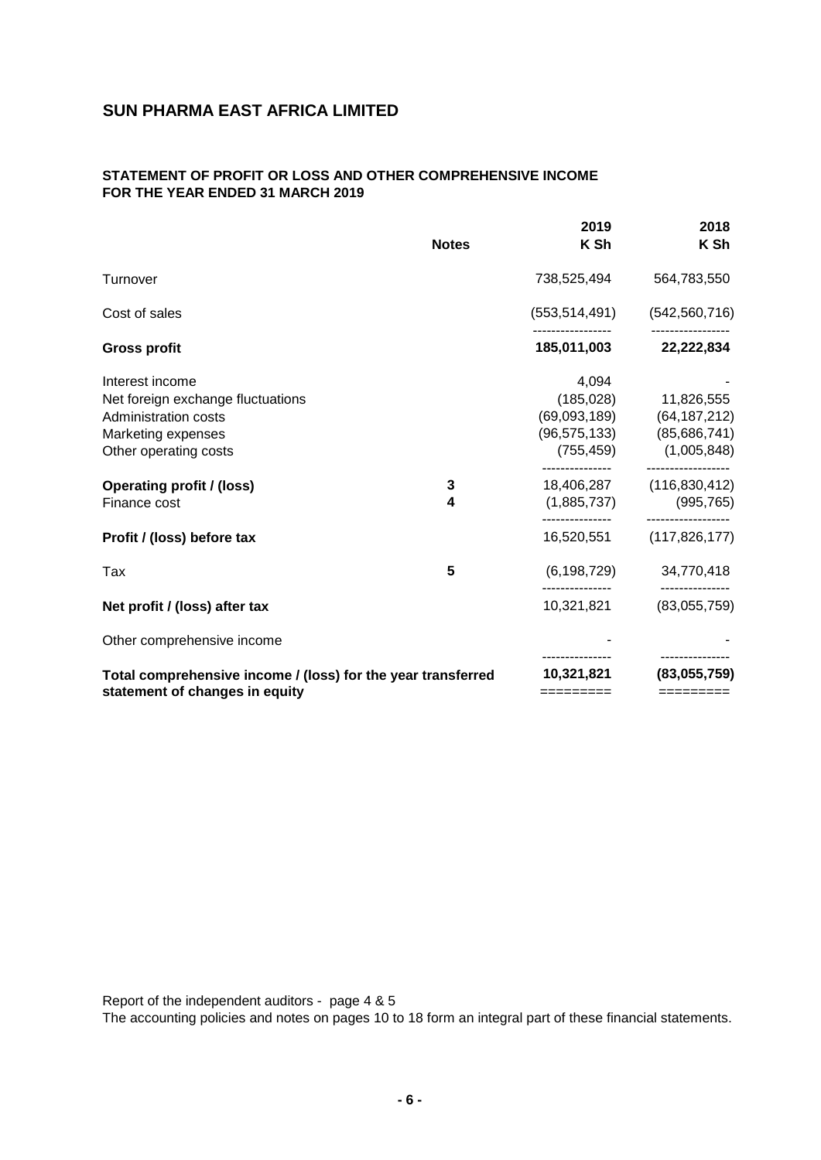### **STATEMENT OF PROFIT OR LOSS AND OTHER COMPREHENSIVE INCOME FOR THE YEAR ENDED 31 MARCH 2019**

|                                                              | <b>Notes</b> | 2019<br>K Sh  | 2018<br>K Sh                      |
|--------------------------------------------------------------|--------------|---------------|-----------------------------------|
| Turnover                                                     |              | 738,525,494   | 564,783,550                       |
| Cost of sales                                                |              | (553,514,491) | (542, 560, 716)                   |
| <b>Gross profit</b>                                          |              | 185,011,003   | -----------<br>22,222,834         |
| Interest income                                              |              | 4,094         |                                   |
| Net foreign exchange fluctuations                            |              |               | $(185,028)$ 11,826,555            |
| Administration costs                                         |              |               | $(69,093,189)$ $(64,187,212)$     |
| Marketing expenses                                           |              |               | $(96, 575, 133)$ $(85, 686, 741)$ |
| Other operating costs                                        |              | (755, 459)    | (1,005,848)                       |
| <b>Operating profit / (loss)</b>                             | 3            |               | 18,406,287 (116,830,412)          |
| Finance cost                                                 | 4            | (1,885,737)   | (995, 765)                        |
| Profit / (loss) before tax                                   |              | 16,520,551    | (117, 826, 177)                   |
| Tax                                                          | 5            | (6, 198, 729) | 34,770,418                        |
| Net profit / (loss) after tax                                |              | 10,321,821    | -------------<br>(83,055,759)     |
| Other comprehensive income                                   |              |               |                                   |
| Total comprehensive income / (loss) for the year transferred |              | 10,321,821    | (83,055,759)                      |
| statement of changes in equity                               |              | =========     | =========                         |

Report of the independent auditors - page 4 & 5 The accounting policies and notes on pages 10 to 18 form an integral part of these financial statements.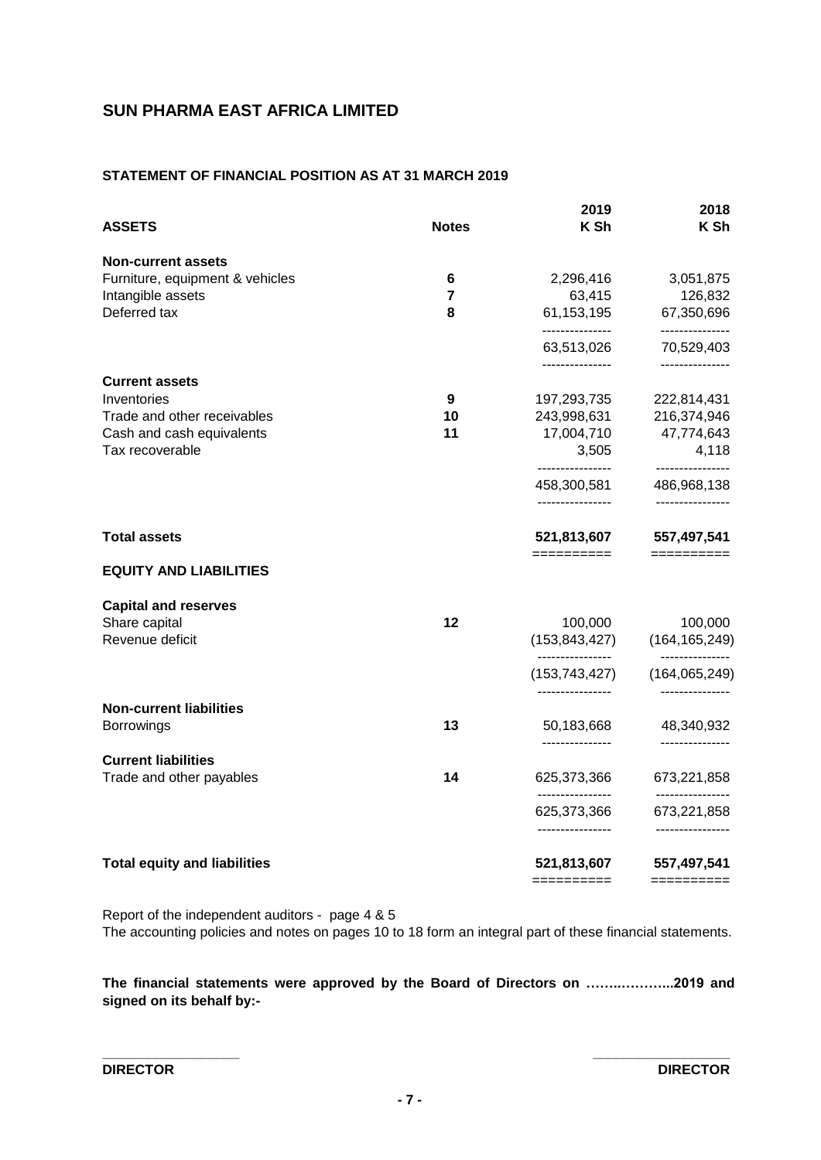### **STATEMENT OF FINANCIAL POSITION AS AT 31 MARCH 2019**

| <b>ASSETS</b>                       | <b>Notes</b>   | 2019<br>K Sh                                        | 2018<br>K Sh                                        |
|-------------------------------------|----------------|-----------------------------------------------------|-----------------------------------------------------|
| <b>Non-current assets</b>           |                |                                                     |                                                     |
| Furniture, equipment & vehicles     | 6              | 2,296,416                                           | 3,051,875                                           |
| Intangible assets                   | $\overline{7}$ | 63,415                                              | 126,832                                             |
| Deferred tax                        | 8              | 61,153,195<br>---------------                       | 67,350,696<br>---------------                       |
|                                     |                | 63,513,026                                          | 70,529,403                                          |
| <b>Current assets</b>               |                | ---------------                                     | ---------------                                     |
| Inventories                         | 9              | 197,293,735                                         | 222,814,431                                         |
| Trade and other receivables         | 10             | 243,998,631                                         | 216,374,946                                         |
| Cash and cash equivalents           | 11             | 17,004,710                                          | 47,774,643                                          |
| Tax recoverable                     |                | 3,505                                               | 4,118                                               |
|                                     |                | ----------------<br>458,300,581<br>---------------- | ----------------<br>486,968,138<br>---------------- |
| <b>Total assets</b>                 |                | 521,813,607                                         | 557,497,541                                         |
| <b>EQUITY AND LIABILITIES</b>       |                | ==========                                          | $=$ ==========                                      |
| <b>Capital and reserves</b>         |                |                                                     |                                                     |
| Share capital                       | 12             | 100,000                                             | 100,000                                             |
| Revenue deficit                     |                | (153, 843, 427)<br>----------------                 | (164, 165, 249)<br>---------------                  |
|                                     |                | (153, 743, 427)                                     | (164, 065, 249)                                     |
| <b>Non-current liabilities</b>      |                | ----------------                                    | ---------------                                     |
| <b>Borrowings</b>                   | 13             | 50,183,668<br>---------------                       | 48,340,932<br>---------------                       |
| <b>Current liabilities</b>          |                |                                                     |                                                     |
| Trade and other payables            | 14             | 625,373,366<br>----------------                     | 673,221,858<br>----------------                     |
|                                     |                | 625,373,366                                         | 673,221,858                                         |
|                                     |                | ----------------                                    | ----------------                                    |
| <b>Total equity and liabilities</b> |                | 521,813,607<br>==========                           | 557,497,541<br>$=$ ==========                       |
|                                     |                |                                                     |                                                     |

Report of the independent auditors - page 4 & 5

The accounting policies and notes on pages 10 to 18 form an integral part of these financial statements.

**The financial statements were approved by the Board of Directors on ……..………...2019 and signed on its behalf by:-**

**\_\_\_\_\_\_\_\_\_\_\_\_\_\_\_\_\_\_ \_\_\_\_\_\_\_\_\_\_\_\_\_\_\_\_\_\_**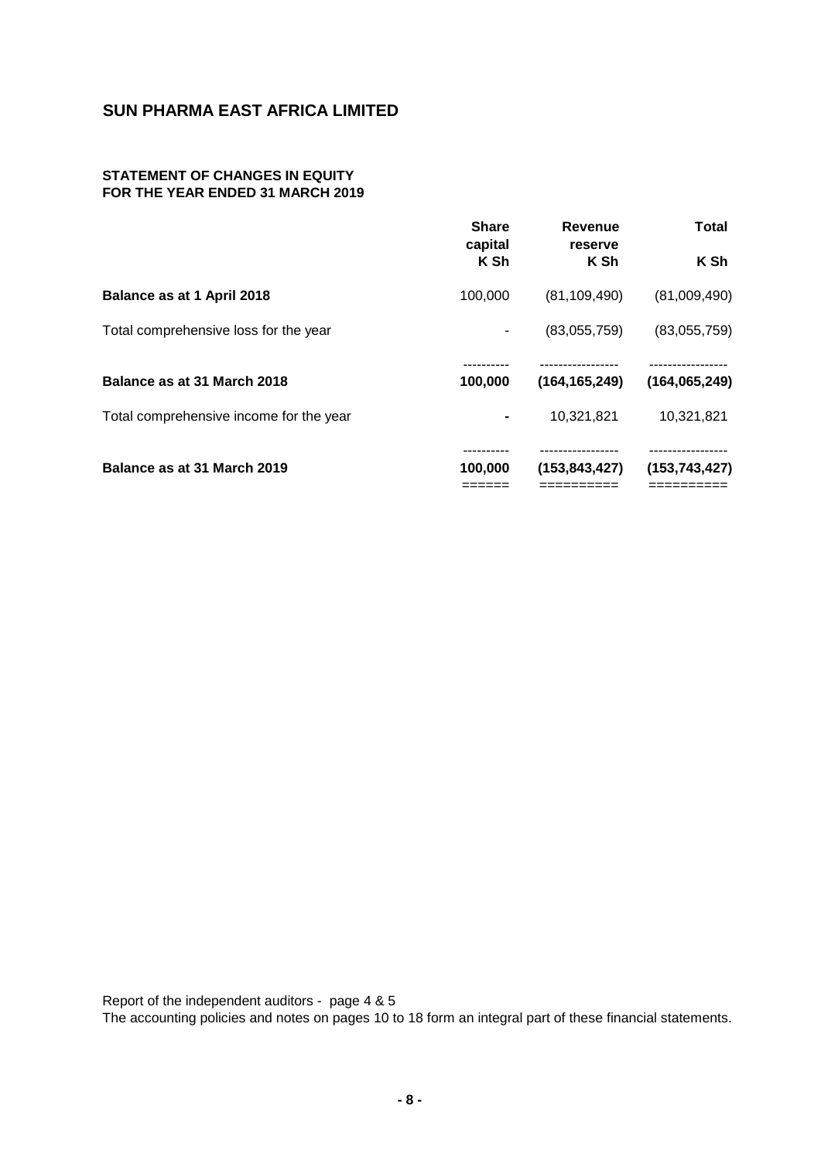### **STATEMENT OF CHANGES IN EQUITY FOR THE YEAR ENDED 31 MARCH 2019**

|                                         | <b>Share</b><br>capital<br>K Sh | Revenue<br>reserve<br>K Sh | <b>Total</b><br>K Sh |
|-----------------------------------------|---------------------------------|----------------------------|----------------------|
|                                         |                                 |                            |                      |
| Balance as at 1 April 2018              | 100,000                         | (81, 109, 490)             | (81,009,490)         |
| Total comprehensive loss for the year   |                                 | (83,055,759)               | (83,055,759)         |
|                                         |                                 |                            |                      |
| Balance as at 31 March 2018             | 100,000                         | (164, 165, 249)            | (164, 065, 249)      |
| Total comprehensive income for the year |                                 | 10,321,821                 | 10,321,821           |
|                                         |                                 |                            |                      |
| Balance as at 31 March 2019             | 100,000                         | (153, 843, 427)            | (153, 743, 427)      |

Report of the independent auditors - page 4 & 5 The accounting policies and notes on pages 10 to 18 form an integral part of these financial statements.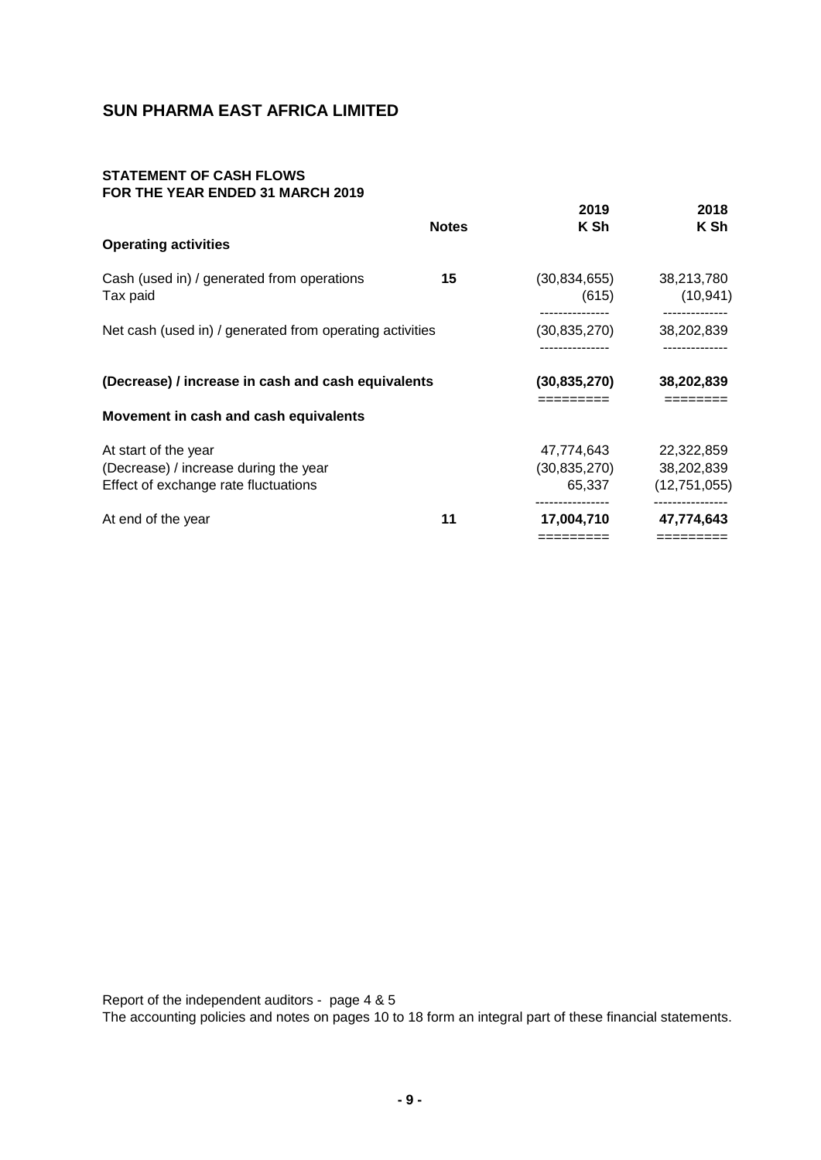### **STATEMENT OF CASH FLOWS FOR THE YEAR ENDED 31 MARCH 2019**

|                                                                                                       | <b>Notes</b> | 2019<br>K Sh                           | 2018<br>K Sh                             |
|-------------------------------------------------------------------------------------------------------|--------------|----------------------------------------|------------------------------------------|
| <b>Operating activities</b>                                                                           |              |                                        |                                          |
| Cash (used in) / generated from operations<br>Tax paid                                                | 15           | (30, 834, 655)<br>(615)                | 38,213,780<br>(10, 941)                  |
| Net cash (used in) / generated from operating activities                                              |              | (30, 835, 270)                         | 38,202,839                               |
| (Decrease) / increase in cash and cash equivalents                                                    |              | (30, 835, 270)                         | 38,202,839                               |
| Movement in cash and cash equivalents                                                                 |              |                                        |                                          |
| At start of the year<br>(Decrease) / increase during the year<br>Effect of exchange rate fluctuations |              | 47,774,643<br>(30, 835, 270)<br>65,337 | 22,322,859<br>38,202,839<br>(12,751,055) |
| At end of the year                                                                                    | 11           | 17,004,710                             | 47,774,643                               |
|                                                                                                       |              |                                        |                                          |

Report of the independent auditors - page 4 & 5 The accounting policies and notes on pages 10 to 18 form an integral part of these financial statements.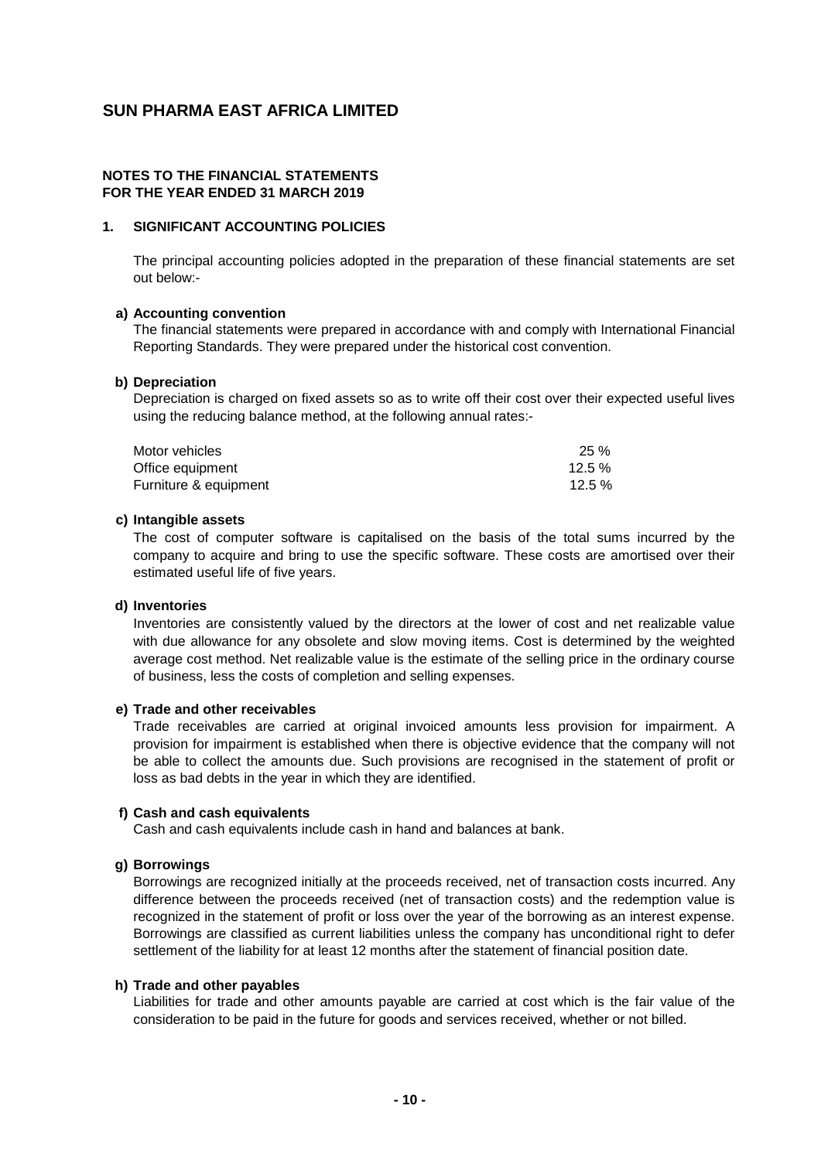### **NOTES TO THE FINANCIAL STATEMENTS FOR THE YEAR ENDED 31 MARCH 2019**

#### **1. SIGNIFICANT ACCOUNTING POLICIES**

The principal accounting policies adopted in the preparation of these financial statements are set out below:-

#### **a) Accounting convention**

The financial statements were prepared in accordance with and comply with International Financial Reporting Standards. They were prepared under the historical cost convention.

#### **b) Depreciation**

Depreciation is charged on fixed assets so as to write off their cost over their expected useful lives using the reducing balance method, at the following annual rates:-

| Motor vehicles        | 25%   |
|-----------------------|-------|
| Office equipment      | 12.5% |
| Furniture & equipment | 12.5% |

#### **c) Intangible assets**

The cost of computer software is capitalised on the basis of the total sums incurred by the company to acquire and bring to use the specific software. These costs are amortised over their estimated useful life of five years.

#### **d) Inventories**

Inventories are consistently valued by the directors at the lower of cost and net realizable value with due allowance for any obsolete and slow moving items. Cost is determined by the weighted average cost method. Net realizable value is the estimate of the selling price in the ordinary course of business, less the costs of completion and selling expenses.

#### **e) Trade and other receivables**

Trade receivables are carried at original invoiced amounts less provision for impairment. A provision for impairment is established when there is objective evidence that the company will not be able to collect the amounts due. Such provisions are recognised in the statement of profit or loss as bad debts in the year in which they are identified.

#### **f) Cash and cash equivalents**

Cash and cash equivalents include cash in hand and balances at bank.

#### **g) Borrowings**

Borrowings are recognized initially at the proceeds received, net of transaction costs incurred. Any difference between the proceeds received (net of transaction costs) and the redemption value is recognized in the statement of profit or loss over the year of the borrowing as an interest expense. Borrowings are classified as current liabilities unless the company has unconditional right to defer settlement of the liability for at least 12 months after the statement of financial position date.

#### **h) Trade and other payables**

Liabilities for trade and other amounts payable are carried at cost which is the fair value of the consideration to be paid in the future for goods and services received, whether or not billed.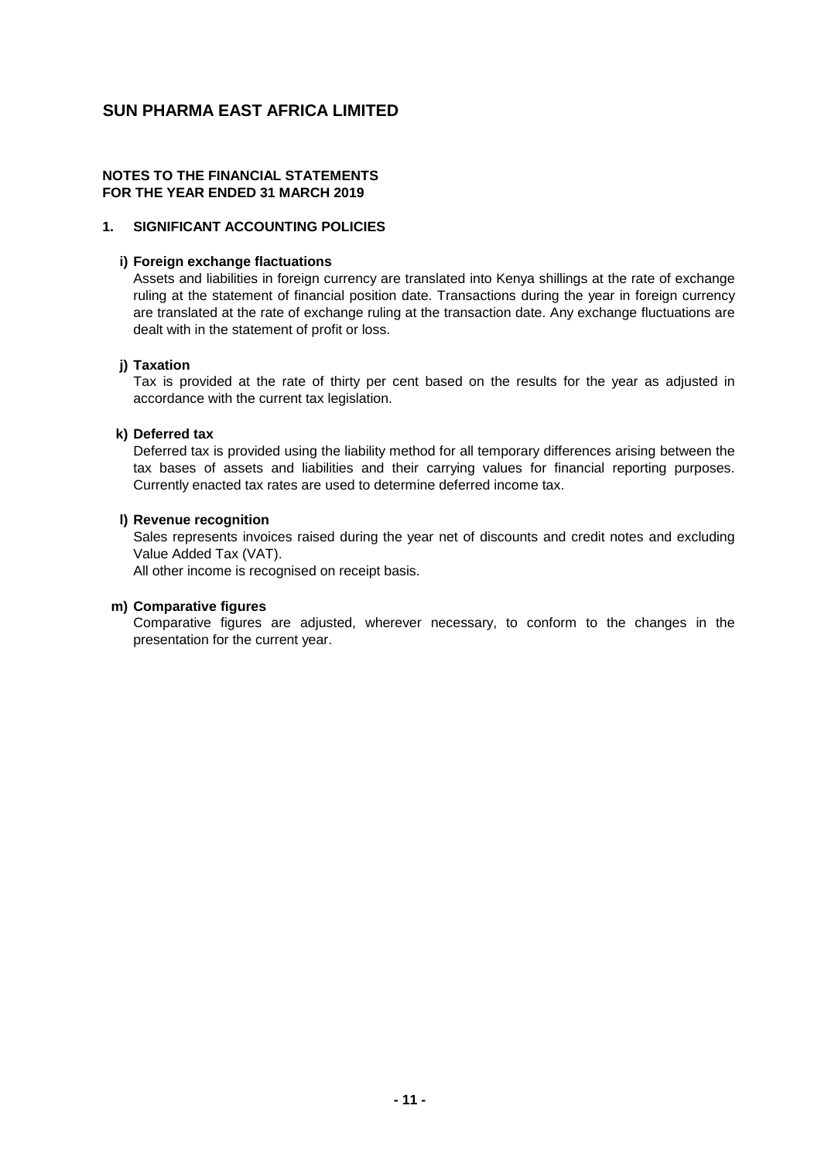### **NOTES TO THE FINANCIAL STATEMENTS FOR THE YEAR ENDED 31 MARCH 2019**

#### **1. SIGNIFICANT ACCOUNTING POLICIES**

#### **i) Foreign exchange flactuations**

Assets and liabilities in foreign currency are translated into Kenya shillings at the rate of exchange ruling at the statement of financial position date. Transactions during the year in foreign currency are translated at the rate of exchange ruling at the transaction date. Any exchange fluctuations are dealt with in the statement of profit or loss.

#### **j) Taxation**

Tax is provided at the rate of thirty per cent based on the results for the year as adjusted in accordance with the current tax legislation.

#### **k) Deferred tax**

Deferred tax is provided using the liability method for all temporary differences arising between the tax bases of assets and liabilities and their carrying values for financial reporting purposes. Currently enacted tax rates are used to determine deferred income tax.

#### **l) Revenue recognition**

Sales represents invoices raised during the year net of discounts and credit notes and excluding Value Added Tax (VAT).

All other income is recognised on receipt basis.

#### **m) Comparative figures**

Comparative figures are adjusted, wherever necessary, to conform to the changes in the presentation for the current year.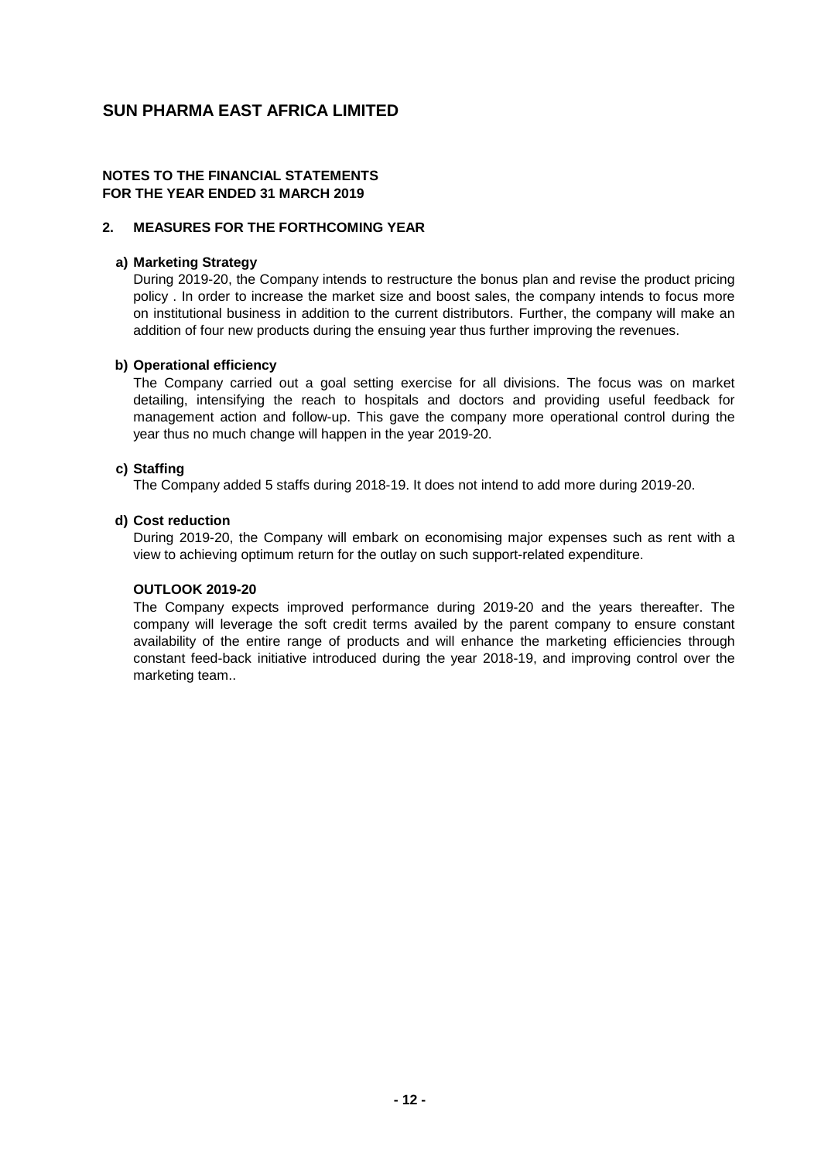### **NOTES TO THE FINANCIAL STATEMENTS FOR THE YEAR ENDED 31 MARCH 2019**

#### **2. MEASURES FOR THE FORTHCOMING YEAR**

#### **a) Marketing Strategy**

During 2019-20, the Company intends to restructure the bonus plan and revise the product pricing policy . In order to increase the market size and boost sales, the company intends to focus more on institutional business in addition to the current distributors. Further, the company will make an addition of four new products during the ensuing year thus further improving the revenues.

#### **b) Operational efficiency**

The Company carried out a goal setting exercise for all divisions. The focus was on market detailing, intensifying the reach to hospitals and doctors and providing useful feedback for management action and follow-up. This gave the company more operational control during the year thus no much change will happen in the year 2019-20.

#### **c) Staffing**

The Company added 5 staffs during 2018-19. It does not intend to add more during 2019-20.

#### **d) Cost reduction**

During 2019-20, the Company will embark on economising major expenses such as rent with a view to achieving optimum return for the outlay on such support-related expenditure.

#### **OUTLOOK 2019-20**

The Company expects improved performance during 2019-20 and the years thereafter. The company will leverage the soft credit terms availed by the parent company to ensure constant availability of the entire range of products and will enhance the marketing efficiencies through constant feed-back initiative introduced during the year 2018-19, and improving control over the marketing team..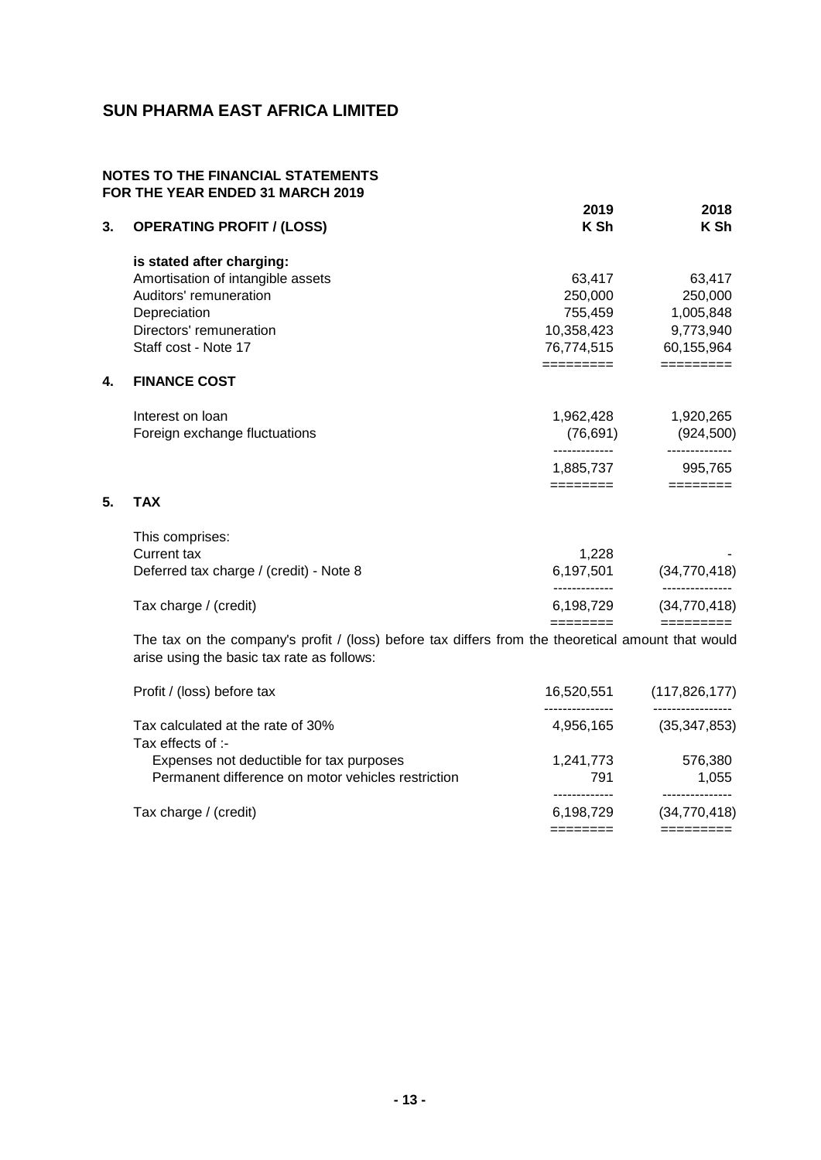#### **NOTES TO THE FINANCIAL STATEMENTS FOR THE YEAR ENDED 31 MARCH 2019**

|    | י טול ווויר ובמול במטרה של הווה ביותר |              |              |
|----|---------------------------------------|--------------|--------------|
| 3. | <b>OPERATING PROFIT / (LOSS)</b>      | 2019<br>K Sh | 2018<br>K Sh |
|    |                                       |              |              |
|    | is stated after charging:             |              |              |
|    | Amortisation of intangible assets     | 63,417       | 63,417       |
|    | Auditors' remuneration                | 250,000      | 250,000      |
|    | Depreciation                          | 755,459      | 1,005,848    |
|    | Directors' remuneration               | 10,358,423   | 9,773,940    |
|    | Staff cost - Note 17                  | 76,774,515   | 60,155,964   |
|    |                                       |              |              |
| 4. | <b>FINANCE COST</b>                   |              |              |
|    | Interest on loan                      | 1,962,428    | 1,920,265    |
|    | Foreign exchange fluctuations         | (76, 691)    | (924, 500)   |
|    |                                       |              | ------------ |
|    |                                       | 1,885,737    | 995,765      |
|    |                                       |              |              |
| ĸ  | TAY                                   |              |              |

### **5. TAX**

| Tax charge / (credit)                   | 6,198,729 | (34,770,418) |
|-----------------------------------------|-----------|--------------|
|                                         |           |              |
| Deferred tax charge / (credit) - Note 8 | 6.197.501 | (34,770,418) |
| Current tax                             | 1.228     |              |
| This comprises:                         |           |              |
|                                         |           |              |

The tax on the company's profit / (loss) before tax differs from the theoretical amount that would arise using the basic tax rate as follows:

| 791<br>6,198,729 | 1.055<br>(34,770,418) |
|------------------|-----------------------|
|                  |                       |
|                  |                       |
|                  |                       |
| 1,241,773        | 576.380               |
|                  |                       |
| 4,956,165        | (35, 347, 853)        |
|                  |                       |
| 16,520,551       | (117, 826, 177)       |
|                  |                       |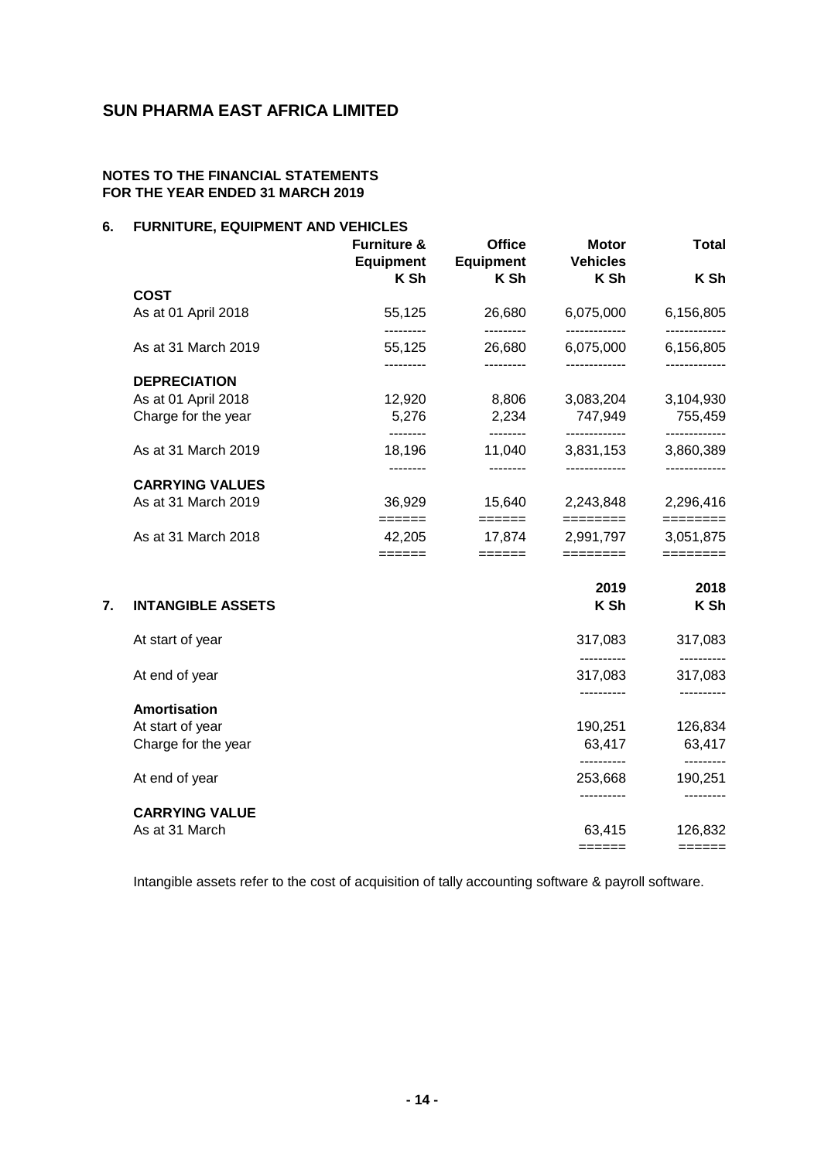### **NOTES TO THE FINANCIAL STATEMENTS FOR THE YEAR ENDED 31 MARCH 2019**

#### **6. FURNITURE, EQUIPMENT AND VEHICLES**

|    |                          | <b>Furniture &amp;</b><br><b>Equipment</b><br>K Sh | <b>Office</b><br><b>Equipment</b><br>K Sh | <b>Motor</b><br><b>Vehicles</b><br>K Sh | <b>Total</b><br>K Sh       |
|----|--------------------------|----------------------------------------------------|-------------------------------------------|-----------------------------------------|----------------------------|
|    | <b>COST</b>              |                                                    |                                           |                                         |                            |
|    | As at 01 April 2018      | 55,125                                             | 26,680                                    | 6,075,000                               | 6,156,805                  |
|    | As at 31 March 2019      | ---------<br>55,125                                | ---------<br>26,680                       | -------------<br>6,075,000              | -------------<br>6,156,805 |
|    |                          | ---------                                          | ---------                                 |                                         |                            |
|    | <b>DEPRECIATION</b>      |                                                    |                                           |                                         |                            |
|    | As at 01 April 2018      | 12,920                                             | 8,806                                     | 3,083,204                               | 3,104,930                  |
|    | Charge for the year      | 5,276                                              | 2,234                                     | 747,949                                 | 755,459                    |
|    | As at 31 March 2019      | --------<br>18,196                                 | --------<br>11,040                        | -------------<br>3,831,153              | -------------<br>3,860,389 |
|    | <b>CARRYING VALUES</b>   | --------                                           | --------                                  | -------------                           | -------------              |
|    | As at 31 March 2019      | 36,929                                             | 15,640                                    | 2,243,848                               | 2,296,416                  |
|    | As at 31 March 2018      | $=$ $=$ $=$ $=$ $=$ $=$<br>42,205                  | ======<br>17,874                          | ========<br>2,991,797                   | ========<br>3,051,875      |
|    |                          | ======                                             | ======                                    | ========                                | ========                   |
| 7. | <b>INTANGIBLE ASSETS</b> |                                                    |                                           | 2019<br>K Sh                            | 2018<br>K Sh               |
|    | At start of year         |                                                    |                                           | 317,083                                 | 317,083                    |
|    |                          |                                                    |                                           | ----------                              | ----------                 |
|    | At end of year           |                                                    |                                           | 317,083                                 | 317,083                    |
|    | <b>Amortisation</b>      |                                                    |                                           |                                         |                            |
|    | At start of year         |                                                    |                                           | 190,251                                 | 126,834                    |
|    | Charge for the year      |                                                    |                                           | 63,417<br>----------                    | 63,417<br>---------        |
|    | At end of year           |                                                    |                                           | 253,668                                 | 190,251                    |
|    |                          |                                                    |                                           |                                         | ---------                  |

### **CARRYING VALUE** As at 31 March 63,415 126,832

Intangible assets refer to the cost of acquisition of tally accounting software & payroll software.

====== ======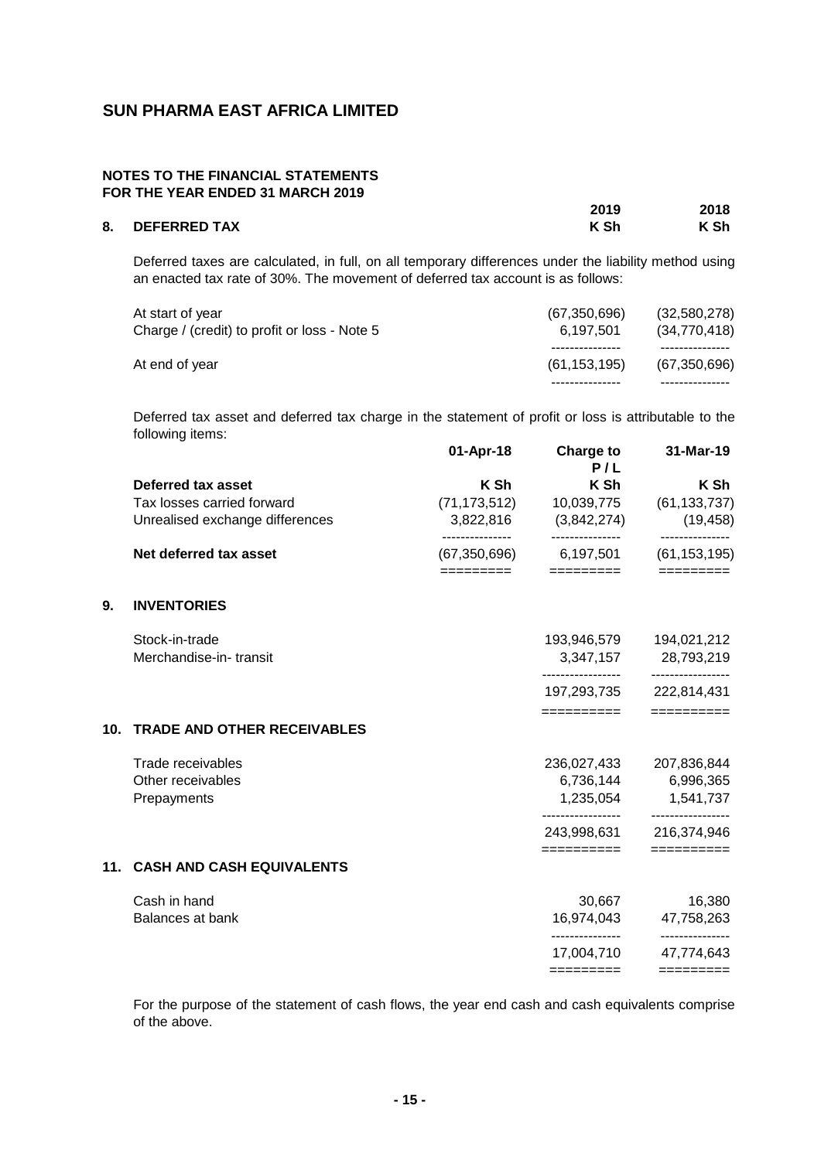### **NOTES TO THE FINANCIAL STATEMENTS FOR THE YEAR ENDED 31 MARCH 2019**

|                 | 2019 | 2018 |
|-----------------|------|------|
| 8. DEFERRED TAX | K Sh | K Sh |

Deferred taxes are calculated, in full, on all temporary differences under the liability method using an enacted tax rate of 30%. The movement of deferred tax account is as follows:

| At start of year                             | (67, 350, 696) | (32,580,278)   |
|----------------------------------------------|----------------|----------------|
| Charge / (credit) to profit or loss - Note 5 | 6.197.501      | (34,770,418)   |
| At end of year                               | (61, 153, 195) | (67, 350, 696) |

Deferred tax asset and deferred tax charge in the statement of profit or loss is attributable to the following items:

|     |                                    | 01-Apr-18                   | Charge to<br>P/L                 | 31-Mar-19                    |
|-----|------------------------------------|-----------------------------|----------------------------------|------------------------------|
|     | Deferred tax asset                 | K Sh                        | K Sh                             | K Sh                         |
|     | Tax losses carried forward         | (71, 173, 512)              | 10,039,775                       | (61, 133, 737)               |
|     | Unrealised exchange differences    | 3,822,816<br>-------------  | (3,842,274)<br>---------------   | (19, 458)                    |
|     | Net deferred tax asset             | (67, 350, 696)<br>========= | 6,197,501<br>$=$ = = = = = = = = | (61, 153, 195)<br>=========  |
| 9.  | <b>INVENTORIES</b>                 |                             |                                  |                              |
|     | Stock-in-trade                     |                             | 193,946,579                      | 194,021,212                  |
|     | Merchandise-in-transit             |                             | 3,347,157<br>                    | 28,793,219<br>-------------- |
|     |                                    |                             | 197,293,735                      | 222,814,431                  |
| 10. | <b>TRADE AND OTHER RECEIVABLES</b> |                             | ==========                       | $=$ = = = = = = = = =        |
|     |                                    |                             |                                  |                              |
|     | Trade receivables                  |                             | 236,027,433                      | 207,836,844                  |
|     | Other receivables                  |                             | 6,736,144                        | 6,996,365                    |
|     | Prepayments                        |                             | 1,235,054                        | 1,541,737<br>--------------  |
|     |                                    |                             | 243,998,631                      | 216,374,946                  |
| 11. | <b>CASH AND CASH EQUIVALENTS</b>   |                             | ==========                       | ==========                   |
|     | Cash in hand                       |                             | 30,667                           | 16,380                       |
|     | Balances at bank                   |                             | 16,974,043                       | 47,758,263<br>------------   |
|     |                                    |                             | 17,004,710                       | 47,774,643                   |
|     |                                    |                             | $=$ ========                     | =========                    |

For the purpose of the statement of cash flows, the year end cash and cash equivalents comprise of the above.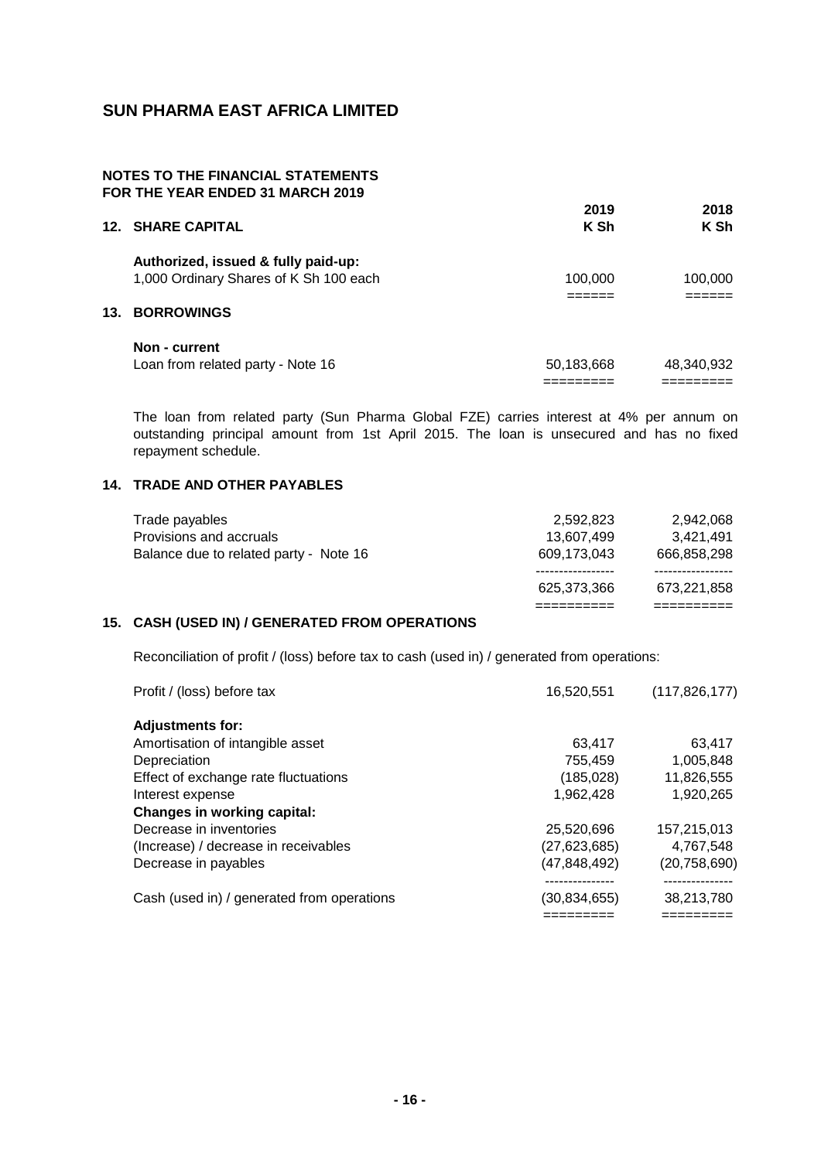#### **NOTES TO THE FINANCIAL STATEMENTS FOR THE YEAR ENDED 31 MARCH 2019**

| <b>12. SHARE CAPITAL</b>               | 2019<br>K Sh | 2018<br>K Sh |
|----------------------------------------|--------------|--------------|
| Authorized, issued & fully paid-up:    |              |              |
| 1,000 Ordinary Shares of K Sh 100 each | 100.000      | 100,000      |
| <b>13. BORROWINGS</b>                  |              |              |
| Non - current                          |              |              |
| Loan from related party - Note 16      | 50,183,668   | 48,340,932   |
|                                        | ----------   | _________    |

The loan from related party (Sun Pharma Global FZE) carries interest at 4% per annum on outstanding principal amount from 1st April 2015. The loan is unsecured and has no fixed repayment schedule.

### **14. TRADE AND OTHER PAYABLES**

|                                        | 625.373.366 | 673.221.858 |
|----------------------------------------|-------------|-------------|
| Balance due to related party - Note 16 | 609.173.043 | 666.858.298 |
| Provisions and accruals                | 13.607.499  | 3.421.491   |
| Trade payables                         | 2.592.823   | 2.942.068   |
|                                        |             |             |

#### **15. CASH (USED IN) / GENERATED FROM OPERATIONS**

Reconciliation of profit / (loss) before tax to cash (used in) / generated from operations:

| Profit / (loss) before tax                 | 16,520,551     | (117, 826, 177) |
|--------------------------------------------|----------------|-----------------|
| <b>Adjustments for:</b>                    |                |                 |
| Amortisation of intangible asset           | 63.417         | 63.417          |
| Depreciation                               | 755,459        | 1,005,848       |
| Effect of exchange rate fluctuations       | (185, 028)     | 11,826,555      |
| Interest expense                           | 1,962,428      | 1.920.265       |
| <b>Changes in working capital:</b>         |                |                 |
| Decrease in inventories                    | 25,520,696     | 157.215.013     |
| (Increase) / decrease in receivables       | (27,623,685)   | 4,767,548       |
| Decrease in payables                       | (47, 848, 492) | (20, 758, 690)  |
|                                            |                | ------------    |
| Cash (used in) / generated from operations | (30,834,655)   | 38,213,780      |
|                                            |                |                 |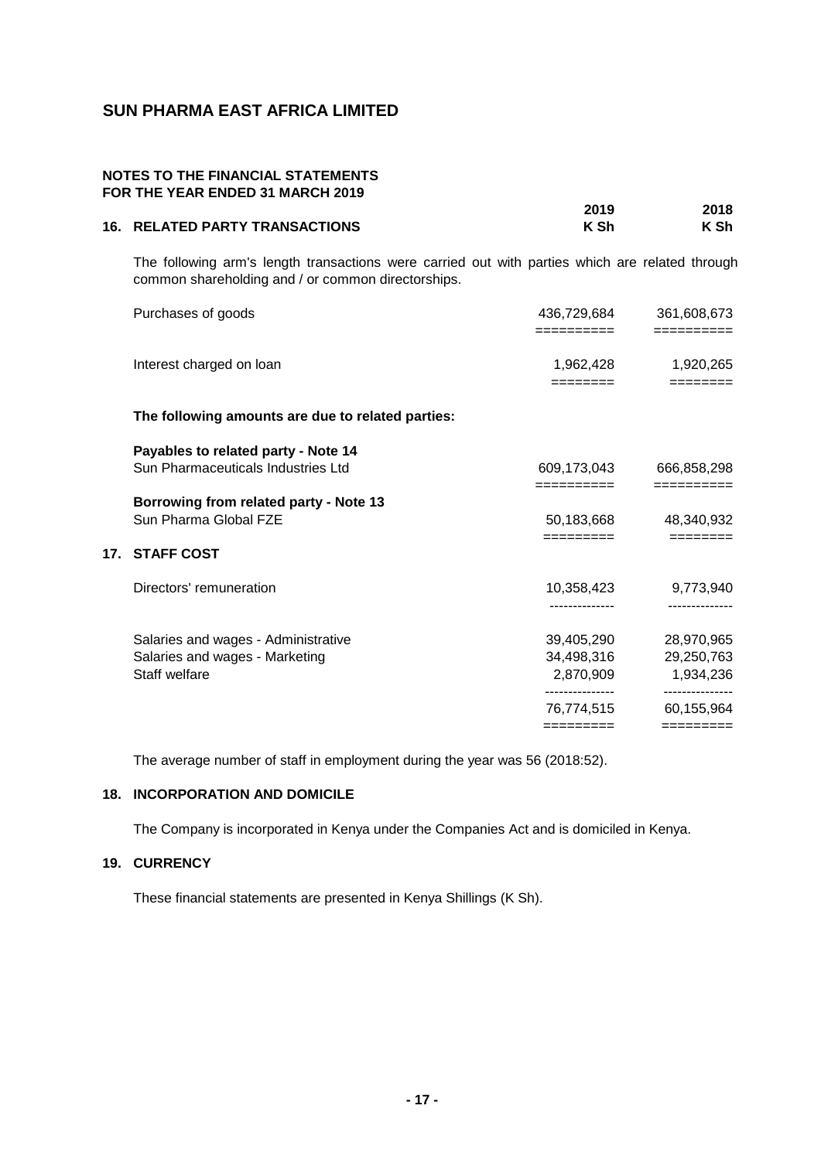### **NOTES TO THE FINANCIAL STATEMENTS FOR THE YEAR ENDED 31 MARCH 2019**

|                                       | 2019 | 2018 |
|---------------------------------------|------|------|
| <b>16. RELATED PARTY TRANSACTIONS</b> | K Sh | K Sh |

The following arm's length transactions were carried out with parties which are related through common shareholding and / or common directorships.

| Purchases of goods                                                                | 436.729.684 | 361,608,673 |
|-----------------------------------------------------------------------------------|-------------|-------------|
| Interest charged on loan                                                          | 1.962.428   | 1.920.265   |
| The following amounts are due to related parties:                                 |             |             |
| Payables to related party - Note 14<br><b>Cup Dhormocouticolo Industries Ltd.</b> | ENO 172 NA2 | AAA OFO OOO |

|                                                                        | =========      | =========   |
|------------------------------------------------------------------------|----------------|-------------|
|                                                                        | 76.774.515     | 60,155,964  |
|                                                                        | -------------- | .           |
| Staff welfare                                                          | 2.870.909      | 1,934,236   |
| Salaries and wages - Marketing                                         | 34.498.316     | 29,250,763  |
| Salaries and wages - Administrative                                    | 39,405,290     | 28,970,965  |
|                                                                        |                |             |
| Directors' remuneration                                                | 10,358,423     | 9,773,940   |
| <b>STAFF COST</b>                                                      |                |             |
|                                                                        |                |             |
| <b>Borrowing from related party - Note 13</b><br>Sun Pharma Global FZE | 50,183,668     | 48.340.932  |
|                                                                        | :=========     | ==========  |
| Sun Pharmaceuticals Industries Ltd                                     | 609,173,043    | 666,858,298 |

The average number of staff in employment during the year was 56 (2018:52).

### **18. INCORPORATION AND DOMICILE**

The Company is incorporated in Kenya under the Companies Act and is domiciled in Kenya.

### **19. CURRENCY**

**17.** 

These financial statements are presented in Kenya Shillings (K Sh).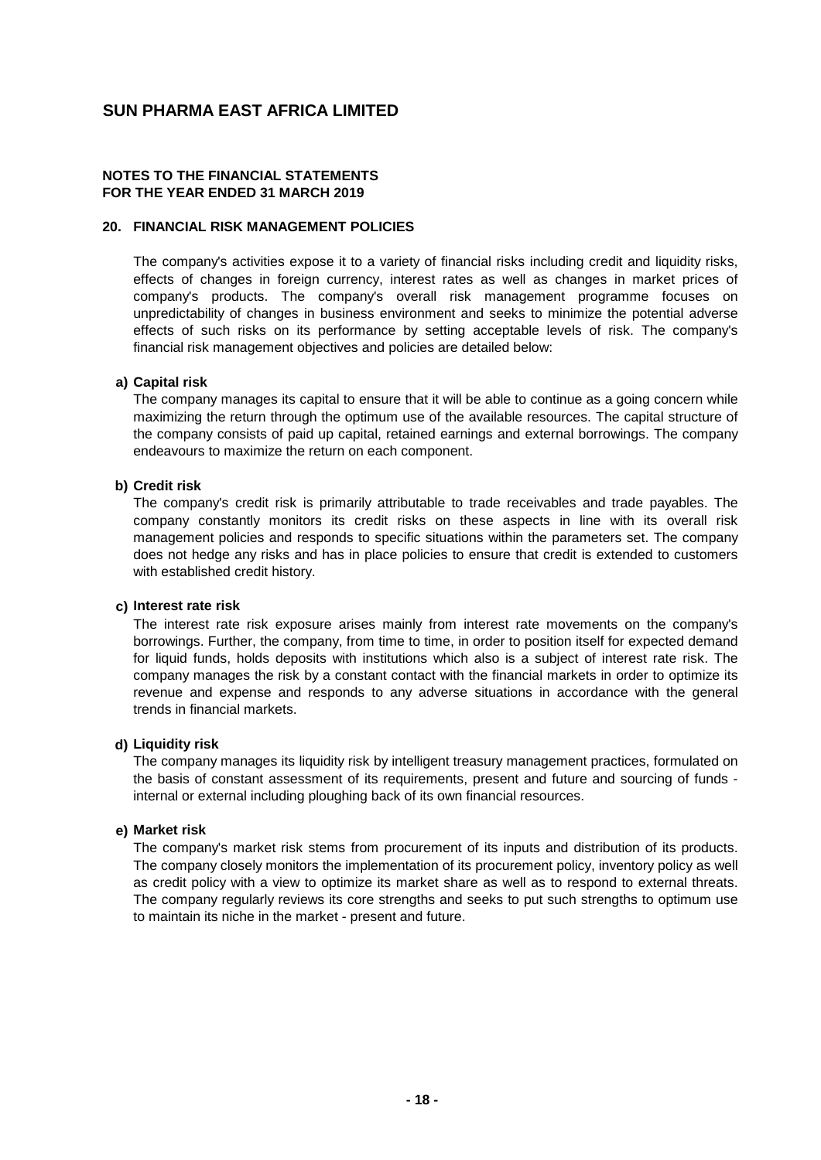### **NOTES TO THE FINANCIAL STATEMENTS FOR THE YEAR ENDED 31 MARCH 2019**

#### **20. FINANCIAL RISK MANAGEMENT POLICIES**

The company's activities expose it to a variety of financial risks including credit and liquidity risks, effects of changes in foreign currency, interest rates as well as changes in market prices of company's products. The company's overall risk management programme focuses on unpredictability of changes in business environment and seeks to minimize the potential adverse effects of such risks on its performance by setting acceptable levels of risk. The company's financial risk management objectives and policies are detailed below:

#### **a) Capital risk**

The company manages its capital to ensure that it will be able to continue as a going concern while maximizing the return through the optimum use of the available resources. The capital structure of the company consists of paid up capital, retained earnings and external borrowings. The company endeavours to maximize the return on each component.

#### **b) Credit risk**

The company's credit risk is primarily attributable to trade receivables and trade payables. The company constantly monitors its credit risks on these aspects in line with its overall risk management policies and responds to specific situations within the parameters set. The company does not hedge any risks and has in place policies to ensure that credit is extended to customers with established credit history.

#### **c) Interest rate risk**

The interest rate risk exposure arises mainly from interest rate movements on the company's borrowings. Further, the company, from time to time, in order to position itself for expected demand for liquid funds, holds deposits with institutions which also is a subject of interest rate risk. The company manages the risk by a constant contact with the financial markets in order to optimize its revenue and expense and responds to any adverse situations in accordance with the general trends in financial markets.

#### **d) Liquidity risk**

The company manages its liquidity risk by intelligent treasury management practices, formulated on the basis of constant assessment of its requirements, present and future and sourcing of funds internal or external including ploughing back of its own financial resources.

#### **e) Market risk**

The company's market risk stems from procurement of its inputs and distribution of its products. The company closely monitors the implementation of its procurement policy, inventory policy as well as credit policy with a view to optimize its market share as well as to respond to external threats. The company regularly reviews its core strengths and seeks to put such strengths to optimum use to maintain its niche in the market - present and future.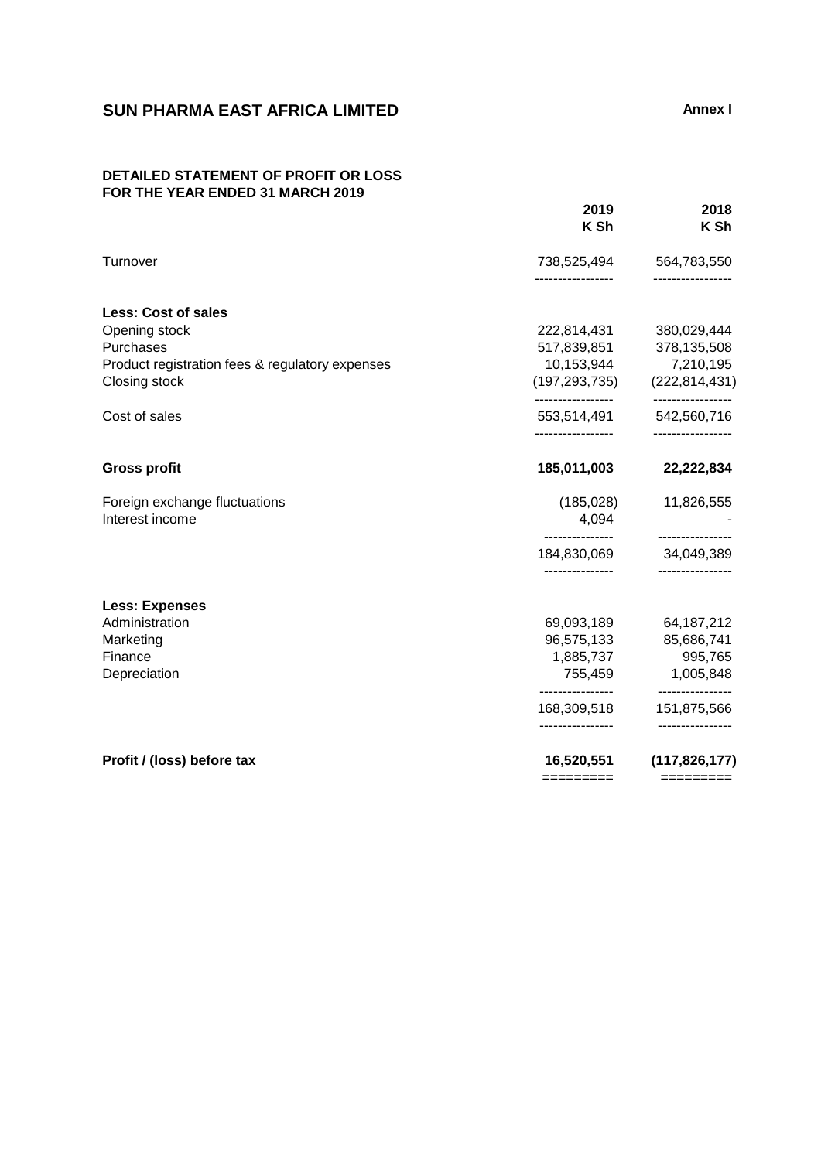## **SUN PHARMA EAST AFRICA LIMITED Annex I**

### **DETAILED STATEMENT OF PROFIT OR LOSS FOR THE YEAR ENDED 31 MARCH 2019**

|                                                  | 2019<br>K Sh                                        | 2018<br>K Sh                                                      |
|--------------------------------------------------|-----------------------------------------------------|-------------------------------------------------------------------|
| Turnover                                         | -----------------                                   | 738,525,494 564,783,550<br>-----------------                      |
| <b>Less: Cost of sales</b>                       |                                                     |                                                                   |
| Opening stock                                    | 222,814,431                                         | 380,029,444                                                       |
| Purchases                                        | 517,839,851                                         | 378,135,508                                                       |
| Product registration fees & regulatory expenses  | 10,153,944                                          | 7,210,195                                                         |
| Closing stock                                    | (197, 293, 735)                                     | (222, 814, 431)                                                   |
| Cost of sales                                    | -----------------<br>-----------------              | -----------------<br>553,514,491 542,560,716<br>----------------- |
| <b>Gross profit</b>                              | 185,011,003                                         | 22,222,834                                                        |
| Foreign exchange fluctuations<br>Interest income | (185, 028)<br>4,094                                 | 11,826,555                                                        |
|                                                  | ----------------                                    | --------------                                                    |
|                                                  | ---------------                                     | 184,830,069 34,049,389<br>--------------                          |
| <b>Less: Expenses</b>                            |                                                     |                                                                   |
| Administration                                   | 69,093,189                                          | 64, 187, 212                                                      |
| Marketing                                        | 96,575,133                                          | 85,686,741                                                        |
| Finance                                          | 1,885,737                                           | 995,765                                                           |
| Depreciation                                     | 755,459                                             | 1,005,848                                                         |
|                                                  | ----------------<br>168,309,518<br>---------------- | --------------<br>151,875,566<br>----------------                 |
| Profit / (loss) before tax                       | 16,520,551                                          | (117, 826, 177)                                                   |
|                                                  | $=$ ========                                        | $=$ ========                                                      |